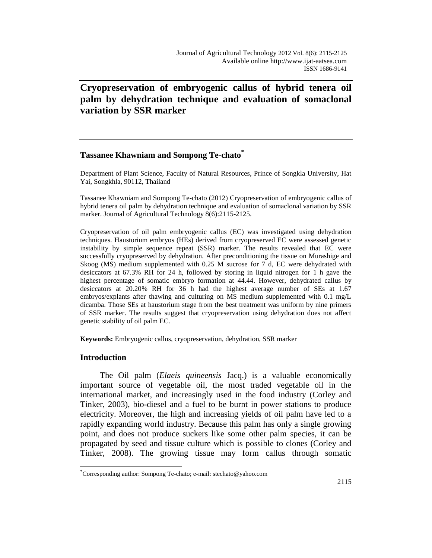# **Cryopreservation of embryogenic callus of hybrid tenera oil palm by dehydration technique and evaluation of somaclonal variation by SSR marker**

# **Tassanee Khawniam and Sompong Te-chato\***

Department of Plant Science, Faculty of Natural Resources, Prince of Songkla University, Hat Yai, Songkhla, 90112, Thailand

Tassanee Khawniam and Sompong Te-chato (2012) Cryopreservation of embryogenic callus of hybrid tenera oil palm by dehydration technique and evaluation of somaclonal variation by SSR marker. Journal of Agricultural Technology 8(6):2115-2125.

Cryopreservation of oil palm embryogenic callus (EC) was investigated using dehydration techniques. Haustorium embryos (HEs) derived from cryopreserved EC were assessed genetic instability by simple sequence repeat (SSR) marker. The results revealed that EC were successfully cryopreserved by dehydration. After preconditioning the tissue on Murashige and Skoog (MS) medium supplemented with 0.25 M sucrose for 7 d, EC were dehydrated with desiccators at 67.3% RH for 24 h, followed by storing in liquid nitrogen for 1 h gave the highest percentage of somatic embryo formation at 44.44. However, dehydrated callus by desiccators at 20.20% RH for 36 h had the highest average number of SEs at 1.67 embryos/explants after thawing and culturing on MS medium supplemented with 0.1 mg/L dicamba. Those SEs at haustorium stage from the best treatment was uniform by nine primers of SSR marker. The results suggest that cryopreservation using dehydration does not affect genetic stability of oil palm EC.

**Keywords:** Embryogenic callus, cryopreservation, dehydration, SSR marker

## **Introduction**

 $\overline{a}$ 

The Oil palm (*Elaeis quineensis* Jacq.) is a valuable economically important source of vegetable oil, the most traded vegetable oil in the international market, and increasingly used in the food industry (Corley and Tinker, 2003), bio-diesel and a fuel to be burnt in power stations to produce electricity. Moreover, the high and increasing yields of oil palm have led to a rapidly expanding world industry. Because this palm has only a single growing point, and does not produce suckers like some other palm species, it can be propagated by seed and tissue culture which is possible to clones (Corley and Tinker, 2008). The growing tissue may form callus through somatic

<sup>\*</sup> Corresponding author: Sompong Te-chato; e-mail: stechato@yahoo.com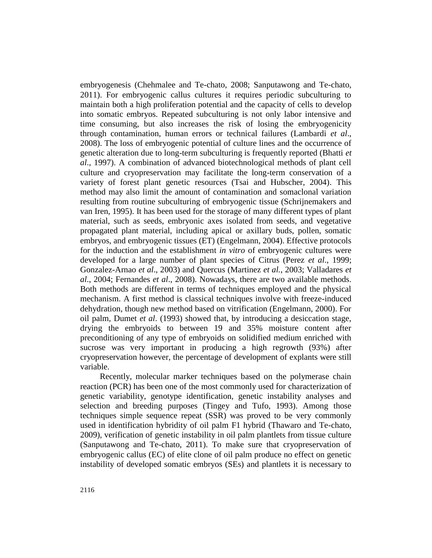embryogenesis (Chehmalee and Te-chato, 2008; Sanputawong and Te-chato, 2011). For embryogenic callus cultures it requires periodic subculturing to maintain both a high proliferation potential and the capacity of cells to develop into somatic embryos. Repeated subculturing is not only labor intensive and time consuming, but also increases the risk of losing the embryogenicity through contamination, human errors or technical failures (Lambardi *et al*., 2008). The loss of embryogenic potential of culture lines and the occurrence of genetic alteration due to long-term subculturing is frequently reported (Bhatti *et al*., 1997). A combination of advanced biotechnological methods of plant cell culture and cryopreservation may facilitate the long-term conservation of a variety of forest plant genetic resources (Tsai and Hubscher, 2004). This method may also limit the amount of contamination and somaclonal variation resulting from routine subculturing of embryogenic tissue (Schrijnemakers and van Iren, 1995). It has been used for the storage of many different types of plant material, such as seeds, embryonic axes isolated from seeds, and vegetative propagated plant material, including apical or axillary buds, pollen, somatic embryos, and embryogenic tissues (ET) (Engelmann, 2004). Effective protocols for the induction and the establishment *in vitro* of embryogenic cultures were developed for a large number of plant species of Citrus (Perez *et al*., 1999; Gonzalez-Arnao *et al*., 2003) and Quercus (Martinez *et al.*, 2003; Valladares *et al*., 2004; Fernandes *et al*., 2008). Nowadays, there are two available methods. Both methods are different in terms of techniques employed and the physical mechanism. A first method is classical techniques involve with freeze-induced dehydration, though new method based on vitrification (Engelmann, 2000). For oil palm, Dumet *et al*. (1993) showed that, by introducing a desiccation stage, drying the embryoids to between 19 and 35% moisture content after preconditioning of any type of embryoids on solidified medium enriched with sucrose was very important in producing a high regrowth (93%) after cryopreservation however, the percentage of development of explants were still variable.

Recently, molecular marker techniques based on the polymerase chain reaction (PCR) has been one of the most commonly used for characterization of genetic variability, genotype identification, genetic instability analyses and selection and breeding purposes (Tingey and Tufo, 1993). Among those techniques simple sequence repeat (SSR) was proved to be very commonly used in identification hybridity of oil palm F1 hybrid (Thawaro and Te-chato, 2009), verification of genetic instability in oil palm plantlets from tissue culture (Sanputawong and Te-chato, 2011). To make sure that cryopreservation of embryogenic callus (EC) of elite clone of oil palm produce no effect on genetic instability of developed somatic embryos (SEs) and plantlets it is necessary to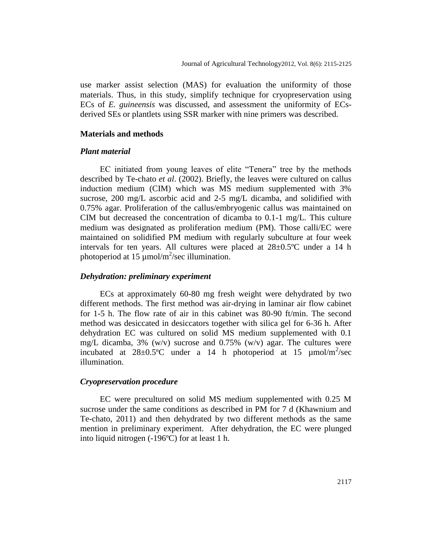use marker assist selection (MAS) for evaluation the uniformity of those materials. Thus, in this study, simplify technique for cryopreservation using ECs of *E. guineensis* was discussed, and assessment the uniformity of ECsderived SEs or plantlets using SSR marker with nine primers was described.

#### **Materials and methods**

## *Plant material*

EC initiated from young leaves of elite "Tenera" tree by the methods described by Te-chato *et al*. (2002). Briefly, the leaves were cultured on callus induction medium (CIM) which was MS medium supplemented with 3% sucrose, 200 mg/L ascorbic acid and 2-5 mg/L dicamba, and solidified with 0.75% agar. Proliferation of the callus/embryogenic callus was maintained on CIM but decreased the concentration of dicamba to 0.1-1 mg/L. This culture medium was designated as proliferation medium (PM). Those calli/EC were maintained on solidified PM medium with regularly subculture at four week intervals for ten years. All cultures were placed at  $28 \pm 0.5$ °C under a 14 h photoperiod at 15  $\mu$ mol/m<sup>2</sup>/sec illumination.

# *Dehydration: preliminary experiment*

ECs at approximately 60-80 mg fresh weight were dehydrated by two different methods. The first method was air-drying in laminar air flow cabinet for 1-5 h. The flow rate of air in this cabinet was  $80-90$  ft/min. The second method was desiccated in desiccators together with silica gel for 6-36 h. After dehydration EC was cultured on solid MS medium supplemented with 0.1 mg/L dicamba, 3% (w/v) sucrose and 0.75% (w/v) agar. The cultures were incubated at  $28 \pm 0.5^{\circ}\text{C}$  under a 14 h photoperiod at 15  $\mu \text{mol/m}^2/\text{sec}$ illumination.

# *Cryopreservation procedure*

EC were precultured on solid MS medium supplemented with 0.25 M sucrose under the same conditions as described in PM for 7 d (Khawnium and Te-chato, 2011) and then dehydrated by two different methods as the same mention in preliminary experiment. After dehydration, the EC were plunged into liquid nitrogen (-196ºC) for at least 1 h.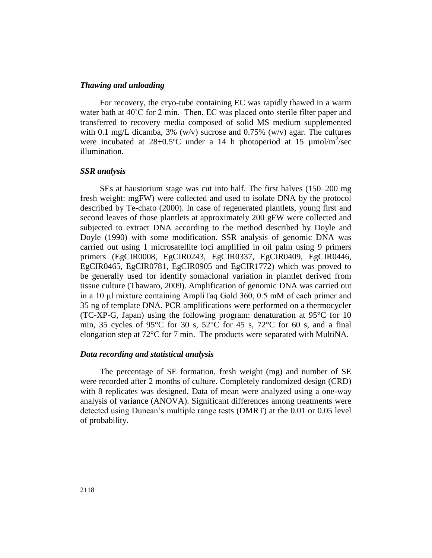## *Thawing and unloading*

For recovery, the cryo-tube containing EC was rapidly thawed in a warm water bath at 40°C for 2 min. Then, EC was placed onto sterile filter paper and transferred to recovery media composed of solid MS medium supplemented with 0.1 mg/L dicamba,  $3\%$  (w/v) sucrose and 0.75% (w/v) agar. The cultures were incubated at  $28 \pm 0.5^{\circ}$ C under a 14 h photoperiod at 15  $\mu$ mol/m<sup>2</sup>/sec illumination.

## *SSR analysis*

SEs at haustorium stage was cut into half. The first halves (150–200 mg fresh weight: mgFW) were collected and used to isolate DNA by the protocol described by Te-chato (2000). In case of regenerated plantlets, young first and second leaves of those plantlets at approximately 200 gFW were collected and subjected to extract DNA according to the method described by Doyle and Doyle (1990) with some modification. SSR analysis of genomic DNA was carried out using 1 microsatellite loci amplified in oil palm using 9 primers primers (EgCIR0008, EgCIR0243, EgCIR0337, EgCIR0409, EgCIR0446, EgCIR0465, EgCIR0781, EgCIR0905 and EgCIR1772) which was proved to be generally used for identify somaclonal variation in plantlet derived from tissue culture (Thawaro, 2009). Amplification of genomic DNA was carried out in a 10 μl mixture containing AmpliTaq Gold 360, 0.5 mM of each primer and 35 ng of template DNA. PCR amplifications were performed on a thermocycler (TC-XP-G, Japan) using the following program: denaturation at  $95^{\circ}$ C for 10 min, 35 cycles of 95 $\degree$ C for 30 s, 52 $\degree$ C for 45 s, 72 $\degree$ C for 60 s, and a final elongation step at  $72^{\circ}$ C for 7 min. The products were separated with MultiNA.

## *Data recording and statistical analysis*

The percentage of SE formation, fresh weight (mg) and number of SE were recorded after 2 months of culture. Completely randomized design (CRD) with 8 replicates was designed. Data of mean were analyzed using a one-way analysis of variance (ANOVA). Significant differences among treatments were detected using Duncan's multiple range tests (DMRT) at the 0.01 or 0.05 level of probability.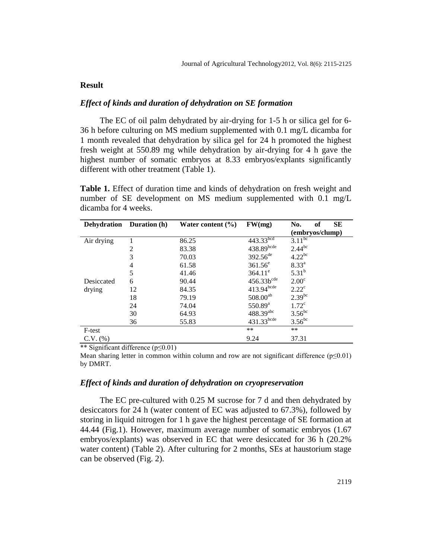## **Result**

# *Effect of kinds and duration of dehydration on SE formation*

The EC of oil palm dehydrated by air-drying for 1-5 h or silica gel for 6- 36 h before culturing on MS medium supplemented with 0.1 mg/L dicamba for 1 month revealed that dehydration by silica gel for 24 h promoted the highest fresh weight at 550.89 mg while dehydration by air-drying for 4 h gave the highest number of somatic embryos at 8.33 embryos/explants significantly different with other treatment (Table 1).

**Table 1.** Effect of duration time and kinds of dehydration on fresh weight and number of SE development on MS medium supplemented with 0.1 mg/L dicamba for 4 weeks.

| <b>Dehydration</b> | <b>Duration</b> (h) | Water content $(\% )$ | FW(mg)           | <b>SE</b><br>of<br>No. |
|--------------------|---------------------|-----------------------|------------------|------------------------|
|                    |                     |                       |                  | (embryos/clump)        |
| Air drying         |                     | 86.25                 | $443.33^{bcd}$   | $3.11^{bc}$            |
|                    | 2                   | 83.38                 | $438.89$ bcde    | $2.44^{bc}$            |
|                    | 3                   | 70.03                 | $392.56^{de}$    | $4.22^{bc}$            |
|                    | 4                   | 61.58                 | $361.56^e$       | $8.33^{a}$             |
|                    | 5                   | 41.46                 | $364.11^e$       | $5.31^{b}$             |
| Desiccated         | 6                   | 90.44                 | $456.33b^{cde}$  | 2.00 <sup>c</sup>      |
| drying             | 12                  | 84.35                 | $413.94$ bcde    | $2.22^{\circ}$         |
|                    | 18                  | 79.19                 | $508.00^{ab}$    | $2.39^{bc}$            |
|                    | 24                  | 74.04                 | $550.89^{\rm a}$ | $1.72^{\circ}$         |
|                    | 30                  | 64.93                 | $488.39^{abc}$   | $3.56^{bc}$            |
|                    | 36                  | 55.83                 | 431.33bcde       | $3.56^{bc}$            |
| F-test             |                     |                       | **               | $**$                   |
| $C.V.$ $(\%)$      |                     |                       | 9.24             | 37.31                  |

\*\* Significant difference (p≤0.01)

Mean sharing letter in common within column and row are not significant difference  $(p \le 0.01)$ by DMRT.

#### *Effect of kinds and duration of dehydration on cryopreservation*

The EC pre-cultured with 0.25 M sucrose for 7 d and then dehydrated by desiccators for 24 h (water content of EC was adjusted to 67.3%), followed by storing in liquid nitrogen for 1 h gave the highest percentage of SE formation at 44.44 (Fig.1). However, maximum average number of somatic embryos (1.67 embryos/explants) was observed in EC that were desiccated for 36 h (20.2% water content) (Table 2). After culturing for 2 months, SEs at haustorium stage can be observed (Fig. 2).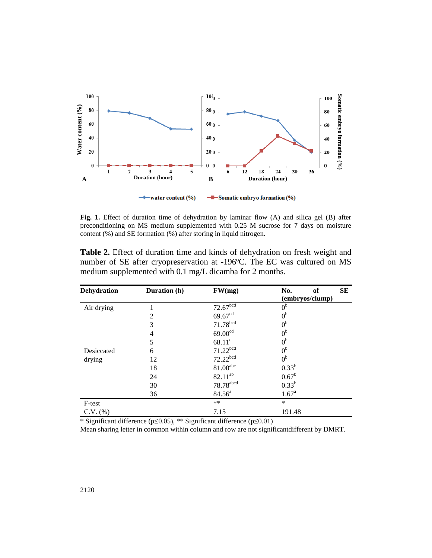

**Fig. 1.** Effect of duration time of dehydration by laminar flow (A) and silica gel (B) after preconditioning on MS medium supplemented with 0.25 M sucrose for 7 days on moisture content (%) and SE formation (%) after storing in liquid nitrogen.

| Fig. 1. Effect of duration time of dehydration by laminar flow (A) and silica gel (B) after<br>preconditioning on MS medium supplemented with 0.25 M sucrose for 7 days on moisture<br>content (%) and SE formation (%) after storing in liquid nitrogen.<br>Table 2. Effect of duration time and kinds of dehydration on fresh weight and<br>number of SE after cryopreservation at -196°C. The EC was cultured on MS<br>medium supplemented with 0.1 mg/L dicamba for 2 months.<br>Dehydration | water content (%) | -Somatic embryo formation (%)         |                              |    |
|--------------------------------------------------------------------------------------------------------------------------------------------------------------------------------------------------------------------------------------------------------------------------------------------------------------------------------------------------------------------------------------------------------------------------------------------------------------------------------------------------|-------------------|---------------------------------------|------------------------------|----|
|                                                                                                                                                                                                                                                                                                                                                                                                                                                                                                  |                   |                                       |                              |    |
|                                                                                                                                                                                                                                                                                                                                                                                                                                                                                                  |                   |                                       |                              |    |
|                                                                                                                                                                                                                                                                                                                                                                                                                                                                                                  | Duration (h)      | FW(mg)                                | No.<br>of<br>(embryos/clump) | SЕ |
| Air drying<br>1                                                                                                                                                                                                                                                                                                                                                                                                                                                                                  |                   | 72.67 <sup>bcd</sup>                  | 0 <sup>b</sup>               |    |
| $\overline{c}$                                                                                                                                                                                                                                                                                                                                                                                                                                                                                   |                   | 69.67 <sup>cd</sup>                   | 0 <sup>b</sup>               |    |
| 3                                                                                                                                                                                                                                                                                                                                                                                                                                                                                                |                   | 71.78 <sup>bcd</sup>                  | 0 <sup>b</sup>               |    |
| $\overline{4}$                                                                                                                                                                                                                                                                                                                                                                                                                                                                                   |                   | 69.00 <sup>cd</sup>                   | 0 <sup>b</sup>               |    |
| 5                                                                                                                                                                                                                                                                                                                                                                                                                                                                                                |                   | $68.11^d$                             | 0 <sup>b</sup>               |    |
| Desiccated<br>6                                                                                                                                                                                                                                                                                                                                                                                                                                                                                  |                   | 71.22 <sup>bcd</sup>                  | 0 <sup>b</sup>               |    |
| 12<br>drying                                                                                                                                                                                                                                                                                                                                                                                                                                                                                     |                   | 72.22 <sup>bcd</sup>                  | 0 <sup>b</sup>               |    |
| 18                                                                                                                                                                                                                                                                                                                                                                                                                                                                                               |                   | $81.00$ <sup>abc</sup>                | $0.33^{b}$                   |    |
|                                                                                                                                                                                                                                                                                                                                                                                                                                                                                                  |                   |                                       | $0.67^{\rm b}$               |    |
|                                                                                                                                                                                                                                                                                                                                                                                                                                                                                                  | 24                |                                       |                              |    |
| 30                                                                                                                                                                                                                                                                                                                                                                                                                                                                                               |                   | $82.11^{ab}$<br>78.78 <sup>abcd</sup> | $0.33^{b}$                   |    |
| 36                                                                                                                                                                                                                                                                                                                                                                                                                                                                                               |                   | 84.56 <sup>a</sup>                    | $1.67^{\text{a}}$            |    |
| F-test                                                                                                                                                                                                                                                                                                                                                                                                                                                                                           |                   | **                                    | $\ast$                       |    |

**Table 2.** Effect of duration time and kinds of dehydration on fresh weight and number of SE after cryopreservation at -196ºC. The EC was cultured on MS medium supplemented with 0.1 mg/L dicamba for 2 months.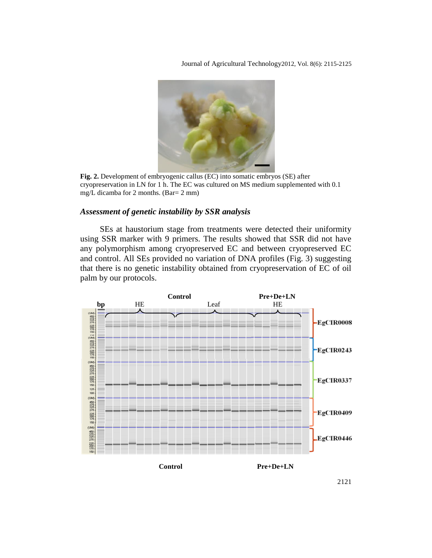Journal of Agricultural Technology2012, Vol. 8(6): 2115-2125



**Fig. 2.** Development of embryogenic callus (EC) into somatic embryos (SE) after cryopreservation in LN for 1 h. The EC was cultured on MS medium supplemented with 0.1 mg/L dicamba for 2 months. (Bar= 2 mm)

# *Assessment of genetic instability by SSR analysis*

SEs at haustorium stage from treatments were detected their uniformity using SSR marker with 9 primers. The results showed that SSR did not have any polymorphism among cryopreserved EC and between cryopreserved EC and control. All SEs provided no variation of DNA profiles (Fig. 3) suggesting that there is no genetic instability obtained from cryopreservation of EC of oil palm by our protocols.



2121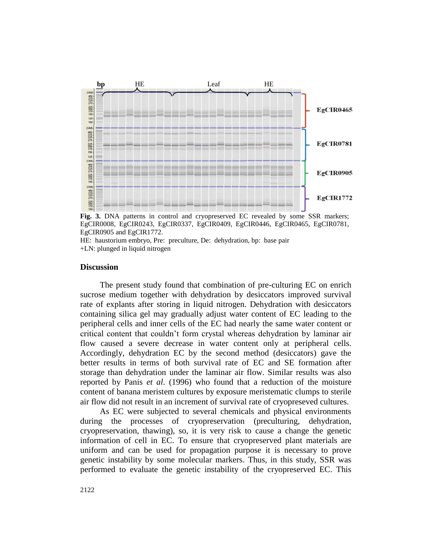

**Fig. 3.** DNA patterns in control and cryopreserved EC revealed by some SSR markers; EgCIR0008, EgCIR0243, EgCIR0337, EgCIR0409, EgCIR0446, EgCIR0465, EgCIR0781, EgCIR0905 and EgCIR1772.

HE: haustorium embryo, Pre: preculture, De: dehydration, bp: base pair +LN: plunged in liquid nitrogen

#### **Discussion**

The present study found that combination of pre-culturing EC on enrich sucrose medium together with dehydration by desiccators improved survival rate of explants after storing in liquid nitrogen. Dehydration with desiccators containing silica gel may gradually adjust water content of EC leading to the peripheral cells and inner cells of the EC had nearly the same water content or critical content that couldn't form crystal whereas dehydration by laminar air flow caused a severe decrease in water content only at peripheral cells. Accordingly, dehydration EC by the second method (desiccators) gave the better results in terms of both survival rate of EC and SE formation after storage than dehydration under the laminar air flow. Similar results was also reported by Panis *et al*. (1996) who found that a reduction of the moisture content of banana meristem cultures by exposure meristematic clumps to sterile air flow did not result in an increment of survival rate of cryopreseved cultures.

As EC were subjected to several chemicals and physical environments during the processes of cryopreservation (preculturing, dehydration, cryopreservation, thawing), so, it is very risk to cause a change the genetic information of cell in EC. To ensure that cryopreserved plant materials are uniform and can be used for propagation purpose it is necessary to prove genetic instability by some molecular markers. Thus, in this study, SSR was performed to evaluate the genetic instability of the cryopreserved EC. This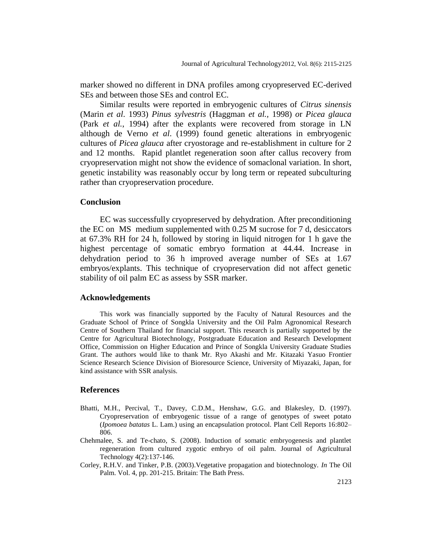marker showed no different in DNA profiles among cryopreserved EC-derived SEs and between those SEs and control EC.

Similar results were reported in embryogenic cultures of *Citrus sinensis* (Marin *et al*. 1993) *Pinus sylvestris* (Haggman *et al.,* 1998) *o*r *Picea glauca* (Park *et al.*, 1994) after the explants were recovered from storage in LN although de Verno *et al*. (1999) found genetic alterations in embryogenic cultures of *Picea glauca* after cryostorage and re-establishment in culture for 2 and 12 months. Rapid plantlet regeneration soon after callus recovery from cryopreservation might not show the evidence of somaclonal variation. In short, genetic instability was reasonably occur by long term or repeated subculturing rather than cryopreservation procedure.

# **Conclusion**

EC was successfully cryopreserved by dehydration. After preconditioning the EC on MS medium supplemented with 0.25 M sucrose for 7 d, desiccators at 67.3% RH for 24 h, followed by storing in liquid nitrogen for 1 h gave the highest percentage of somatic embryo formation at 44.44. Increase in dehydration period to 36 h improved average number of SEs at 1.67 embryos/explants. This technique of cryopreservation did not affect genetic stability of oil palm EC as assess by SSR marker.

#### **Acknowledgements**

This work was financially supported by the Faculty of Natural Resources and the Graduate School of Prince of Songkla University and the Oil Palm Agronomical Research Centre of Southern Thailand for financial support. This research is partially supported by the Centre for Agricultural Biotechnology, Postgraduate Education and Research Development Office, Commission on Higher Education and Prince of Songkla University Graduate Studies Grant. The authors would like to thank Mr. Ryo Akashi and Mr. Kitazaki Yasuo Frontier Science Research Science Division of Bioresource Science, University of Miyazaki, Japan, for kind assistance with SSR analysis.

#### **References**

- Bhatti, M.H., Percival, T., Davey, C.D.M., Henshaw, G.G. and Blakesley, D. (1997). Cryopreservation of embryogenic tissue of a range of genotypes of sweet potato (*Ipomoea batatas* L. Lam.) using an encapsulation protocol. Plant Cell Reports 16:802– 806.
- Chehmalee, S. and Te-chato, S. (2008). Induction of somatic embryogenesis and plantlet regeneration from cultured zygotic embryo of oil palm. Journal of Agricultural Technology 4(2):137-146.
- Corley, R.H.V. and Tinker, P.B. (2003).Vegetative propagation and biotechnology. *In* The Oil Palm. Vol. 4, pp. 201-215. Britain: The Bath Press.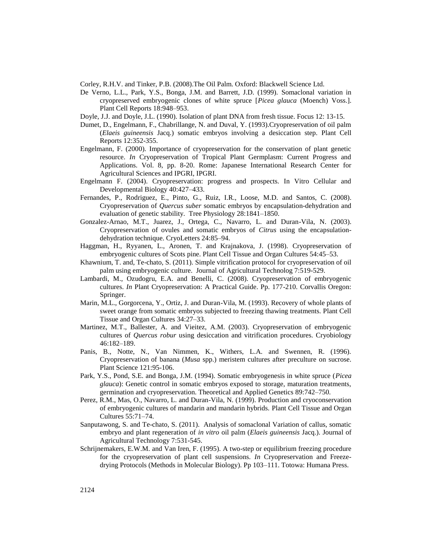Corley, R.H.V. and Tinker, P.B. (2008).The Oil Palm. Oxford: Blackwell Science Ltd.

De Verno, L.L., Park, Y.S., Bonga, J.M. and Barrett, J.D. (1999). Somaclonal variation in cryopreserved embryogenic clones of white spruce [*Picea glauca* (Moench) Voss.]. Plant Cell Reports 18:948–953.

Doyle, J.J. and Doyle, J.L. (1990). Isolation of plant DNA from fresh tissue. Focus 12: 13-15.

- Dumet, D., Engelmann, F., Chabrillange, N. and Duval, Y. (1993).Cryopreservation of oil palm (*Elaeis guineensis* Jacq.) somatic embryos involving a desiccation step. Plant Cell Reports 12:352-355.
- Engelmann, F. (2000). Importance of cryopreservation for the conservation of plant genetic resource. *In* Cryopreservation of Tropical Plant Germplasm: Current Progress and Applications. Vol. 8, pp. 8-20. Rome: Japanese International Research Center for Agricultural Sciences and IPGRI, IPGRI.
- Engelmann F. (2004). Cryopreservation: progress and prospects. In Vitro Cellular and Developmental Biology 40:427–433.
- Fernandes, P., Rodriguez, E., Pinto, G., Ruiz, I.R., Loose, M.D. and Santos, C. (2008). Cryopreservation of *Quercus suber* somatic embryos by encapsulation-dehydration and evaluation of genetic stability. Tree Physiology 28:1841–1850.
- Gonzalez-Arnao, M.T., Juarez, J., Ortega, C., Navarro, L. and Duran-Vila, N. (2003). Cryopreservation of ovules and somatic embryos of *Citrus* using the encapsulationdehydration technique. CryoLetters 24:85–94.
- Haggman, H., Ryyanen, L., Aronen, T. and Krajnakova, J. (1998). Cryopreservation of embryogenic cultures of Scots pine. Plant Cell Tissue and Organ Cultures 54:45–53.
- Khawnium, T. and, Te-chato, S. (2011). Simple vitrification protocol for cryopreservation of oil palm using embryogenic culture. Journal of Agricultural Technolog 7:519-529.
- Lambardi, M., Ozudogru, E.A. and Benelli, C. (2008). Cryopreservation of embryogenic cultures. *In* Plant Cryopreservation: A Practical Guide. Pp. 177-210. Corvallis Oregon: Springer.
- Marin, M.L., Gorgorcena, Y., Ortiz, J. and Duran-Vila, M. (1993). Recovery of whole plants of sweet orange from somatic embryos subjected to freezing thawing treatments. Plant Cell Tissue and Organ Cultures 34:27–33.
- Martinez, M.T., Ballester, A. and Vieitez, A.M. (2003). Cryopreservation of embryogenic cultures of *Quercus robur* using desiccation and vitrification procedures. Cryobiology 46:182–189.
- Panis, B., Notte, N., Van Nimmen, K., Withers, L.A. and Swennen, R. (1996). Cryopreservation of banana (*Musa* spp.) meristem cultures after preculture on sucrose. Plant Science 121:95-106.
- Park, Y.S., Pond, S.E. and Bonga, J.M. (1994). Somatic embryogenesis in white spruce (*Picea glauca*): Genetic control in somatic embryos exposed to storage, maturation treatments, germination and cryopreservation. Theoretical and Applied Genetics 89:742–750.
- Perez, R.M., Mas, O., Navarro, L. and Duran-Vila, N. (1999). Production and cryoconservation of embryogenic cultures of mandarin and mandarin hybrids. Plant Cell Tissue and Organ Cultures 55:71–74.
- Sanputawong, S. and Te-chato, S. (2011). Analysis of somaclonal Variation of callus, somatic embryo and plant regeneration of *in vitro* oil palm (*Elaeis guineensis* Jacq.). Journal of Agricultural Technology 7:531-545.
- Schrijnemakers, E.W.M. and Van Iren, F. (1995). A two-step or equilibrium freezing procedure for the cryopreservation of plant cell suspensions. *In* Cryopreservation and Freezedrying Protocols (Methods in Molecular Biology). Pp 103–111. Totowa: Humana Press.